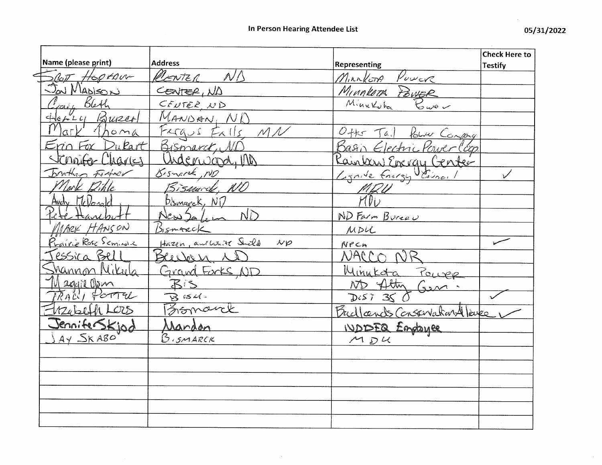| Name (please print)          | <b>Address</b>                                      |                                            | <b>Check Here to</b> |
|------------------------------|-----------------------------------------------------|--------------------------------------------|----------------------|
|                              |                                                     | Representing                               | <b>Testify</b>       |
| Scott Hoptaur<br>Jou Mapison | RENTER ND                                           | Minkton<br>$\mu_{\nu \nu \in \mathcal{K}}$ |                      |
|                              | CENTER, ND                                          | Minnlett Power                             |                      |
| Jain Bleth                   | CENTER ND                                           |                                            |                      |
| Horry Bureal                 | MANDAN, ND                                          |                                            |                      |
|                              | Fergus Exils MN                                     | Other Tail Poliver Compagn                 |                      |
| Erin Fox Dukart              | Bismarck, ND                                        | Basin Electric Power (cop.                 |                      |
| Scraife Charles              | Underward, M                                        | <u>Caintary Energy Center</u>              |                      |
| brather Fortner              | Bismarck, NO                                        | Lignite Energy VEiner                      |                      |
| Nort Dihle                   | Bismarck, NO                                        |                                            |                      |
| Andr McDosold                | <u>Bismarck, NT</u>                                 |                                            |                      |
|                              | New2a1.                                             | ND Farm Bureau                             |                      |
| MARK HANSON                  | Bismarck                                            | MDL                                        |                      |
| <u>Prairie Rose Seminale</u> | Hazen, and White Shild<br>$\mathcal{N} \mathcal{P}$ | NPCA                                       |                      |
| essica Bell                  | Beecher 1                                           | $ORC \cap$                                 |                      |
| <u>Mannon Nikula</u>         | Grand Forks, ND                                     | <u>Minukota</u><br>Power                   |                      |
|                              | BIS                                                 | ND Atty                                    |                      |
| Maggie Olem                  | $B$ is $U$ .                                        | $D(S)$ 35                                  |                      |
| Webell LOOS                  | Formance                                            | Budlands Conservation 4 love               |                      |
| JenniferSkjod                | <u>Jandon</u>                                       | <b>IVDISEQ Englance</b>                    |                      |
| $AY$ $S$ K ABO               | <b>BISMARCK</b>                                     | MDA                                        |                      |
|                              |                                                     |                                            |                      |
|                              |                                                     |                                            |                      |
|                              |                                                     |                                            |                      |
|                              |                                                     |                                            |                      |
|                              |                                                     |                                            |                      |
|                              |                                                     |                                            |                      |
|                              |                                                     |                                            |                      |

 $\sim 10^7$